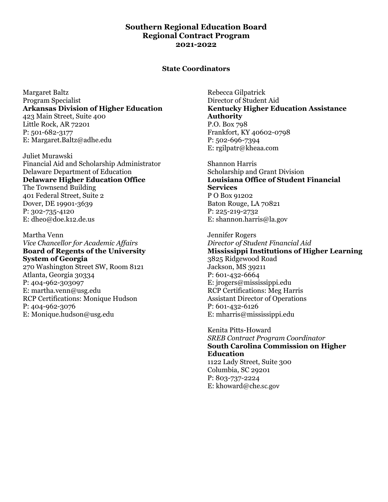# **Southern Regional Education Board Regional Contract Program 2021-2022**

#### **State Coordinators**

Margaret Baltz Program Specialist **Arkansas Division of Higher Education**  423 Main Street, Suite 400 Little Rock, AR 72201 P: 501-682-3177 E: Margaret.Baltz@adhe.edu

Juliet Murawski Financial Aid and Scholarship Administrator Delaware Department of Education **Delaware Higher Education Office**  The Townsend Building 401 Federal Street, Suite 2 Dover, DE 19901-3639 P: 302-735-4120 E: dheo@doe.k12.de.us

Martha Venn *Vice Chancellor for Academic Affairs*  **Board of Regents of the University System of Georgia**  270 Washington Street SW, Room 8121 Atlanta, Georgia 30334

P: 404-962-303097 E: martha.venn@usg.edu RCP Certifications: Monique Hudson P: 404-962-3076 E: Monique.hudson@usg.edu

Rebecca Gilpatrick Director of Student Aid **Kentucky Higher Education Assistance Authority**  P.O. Box 798 Frankfort, KY 40602-0798 P: 502-696-7394 E: rgilpatr@kheaa.com

Shannon Harris Scholarship and Grant Division **Louisiana Office of Student Financial Services**  P O Box 91202 Baton Rouge, LA 70821 P: 225-219-2732 E: shannon.harris@la.gov

Jennifer Rogers *Director of Student Financial Aid*  **Mississippi Institutions of Higher Learning**  3825 Ridgewood Road Jackson, MS 39211 P: 601-432-6664 E: jrogers@mississippi.edu RCP Certifications: Meg Harris Assistant Director of Operations P: 601-432-6126 E: mharris@mississippi.edu

Kenita Pitts-Howard *SREB Contract Program Coordinator*  **South Carolina Commission on Higher Education**  1122 Lady Street, Suite 300 Columbia, SC 29201 P: 803-737-2224 E: khoward@che.sc.gov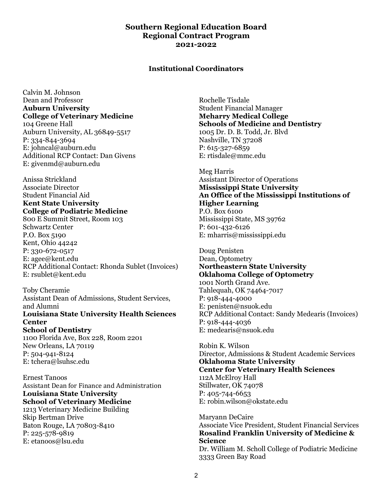## **Southern Regional Education Board Regional Contract Program 2021-2022**

#### **Institutional Coordinators**

Calvin M. Johnson Dean and Professor **Auburn University College of Veterinary Medicine**  104 Greene Hall Auburn University, AL 36849-5517 P: 334-844-3694 E: johncal@auburn.edu Additional RCP Contact: Dan Givens E: givenmd@auburn.edu

Anissa Strickland Associate Director Student Financial Aid **Kent State University College of Podiatric Medicine**  800 E Summit Street, Room 103

Schwartz Center P.O. Box 5190 Kent, Ohio 44242 P: 330-672-0517 E: agee@kent.edu RCP Additional Contact: Rhonda Sublet (Invoices) E: rsublet@kent.edu

Toby Cheramie Assistant Dean of Admissions, Student Services, and Alumni **Louisiana State University Health Sciences Center School of Dentistry**  1100 Florida Ave, Box 228, Room 2201

New Orleans, LA 70119 P: 504-941-8124 E: tchera@lsuhsc.edu

Ernest Tanoos Assistant Dean for Finance and Administration **Louisiana State University School of Veterinary Medicine**  1213 Veterinary Medicine Building Skip Bertman Drive Baton Rouge, LA 70803-8410 P: 225-578-9819 E: etanoos@lsu.edu

Rochelle Tisdale Student Financial Manager **Meharry Medical College Schools of Medicine and Dentistry**  1005 Dr. D. B. Todd, Jr. Blvd Nashville, TN 37208 P: 615-327-6859 E: rtisdale@mmc.edu

Meg Harris Assistant Director of Operations **Mississippi State University An Office of the Mississippi Institutions of Higher Learning**  P.O. Box 6100

Mississippi State, MS 39762 P: 601-432-6126 E: mharris@mississippi.edu

Doug Penisten Dean, Optometry **Northeastern State University Oklahoma College of Optometry**  1001 North Grand Ave. Tahlequah, OK 74464-7017 P: 918-444-4000 E: penisten@nsuok.edu RCP Additional Contact: Sandy Medearis (Invoices) P: 918-444-4036 E: medearis@nsuok.edu

Robin K. Wilson Director, Admissions & Student Academic Services **Oklahoma State University Center for Veterinary Health Sciences**  112A McElroy Hall Stillwater, OK 74078 P: 405-744-6653 E: robin.wilson@okstate.edu

Maryann DeCaire Associate Vice President, Student Financial Services **Rosalind Franklin University of Medicine & Science**  Dr. William M. Scholl College of Podiatric Medicine 3333 Green Bay Road